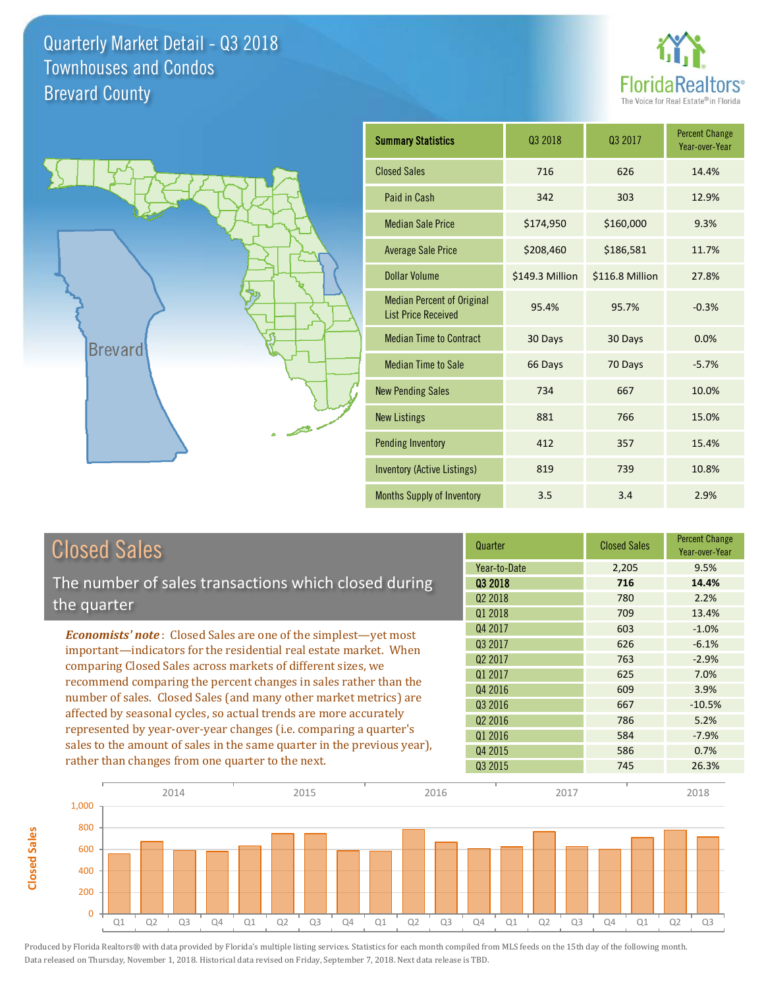



**Closed Sales**

**Closed Sales** 

| <b>Summary Statistics</b>                                       | Q <sub>3</sub> 2018 | Q3 2017         | <b>Percent Change</b><br>Year-over-Year |
|-----------------------------------------------------------------|---------------------|-----------------|-----------------------------------------|
| <b>Closed Sales</b>                                             | 716                 | 626             | 14.4%                                   |
| Paid in Cash                                                    | 342                 | 303             | 12.9%                                   |
| <b>Median Sale Price</b>                                        | \$174,950           | \$160,000       | 9.3%                                    |
| <b>Average Sale Price</b>                                       | \$208,460           | \$186,581       | 11.7%                                   |
| Dollar Volume                                                   | \$149.3 Million     | \$116.8 Million | 27.8%                                   |
| <b>Median Percent of Original</b><br><b>List Price Received</b> | 95.4%               | 95.7%           | $-0.3%$                                 |
| <b>Median Time to Contract</b>                                  | 30 Days             | 30 Days         | 0.0%                                    |
| <b>Median Time to Sale</b>                                      | 66 Days             | 70 Days         | $-5.7%$                                 |
| <b>New Pending Sales</b>                                        | 734                 | 667             | 10.0%                                   |
| <b>New Listings</b>                                             | 881                 | 766             | 15.0%                                   |
| <b>Pending Inventory</b>                                        | 412                 | 357             | 15.4%                                   |
| Inventory (Active Listings)                                     | 819                 | 739             | 10.8%                                   |
| <b>Months Supply of Inventory</b>                               | 3.5                 | 3.4             | 2.9%                                    |

| <b>Closed Sales</b>                                                                                                                                                                                         | Quarter             | <b>Closed Sales</b> | <b>Percent Change</b><br>Year-over-Year |
|-------------------------------------------------------------------------------------------------------------------------------------------------------------------------------------------------------------|---------------------|---------------------|-----------------------------------------|
|                                                                                                                                                                                                             | Year-to-Date        | 2,205               | 9.5%                                    |
| The number of sales transactions which closed during                                                                                                                                                        | 03 2018             | 716                 | 14.4%                                   |
| the quarter                                                                                                                                                                                                 | Q <sub>2</sub> 2018 | 780                 | 2.2%                                    |
|                                                                                                                                                                                                             | Q1 2018             | 709                 | 13.4%                                   |
| <b>Economists' note:</b> Closed Sales are one of the simplest-yet most                                                                                                                                      | Q4 2017             | 603                 | $-1.0%$                                 |
| important—indicators for the residential real estate market. When<br>comparing Closed Sales across markets of different sizes, we<br>recommend comparing the percent changes in sales rather than the       | Q3 2017             | 626                 | $-6.1%$                                 |
|                                                                                                                                                                                                             | Q <sub>2</sub> 2017 | 763                 | $-2.9%$                                 |
|                                                                                                                                                                                                             | 01 2017             | 625                 | 7.0%                                    |
|                                                                                                                                                                                                             | Q4 2016             | 609                 | 3.9%                                    |
| number of sales. Closed Sales (and many other market metrics) are<br>affected by seasonal cycles, so actual trends are more accurately<br>represented by year-over-year changes (i.e. comparing a quarter's | Q3 2016             | 667                 | $-10.5%$                                |
|                                                                                                                                                                                                             | 02 2016             | 786                 | 5.2%                                    |
|                                                                                                                                                                                                             | Q1 2016             | 584                 | $-7.9%$                                 |
| sales to the amount of sales in the same quarter in the previous year),                                                                                                                                     | Q4 2015             | 586                 | 0.7%                                    |
| rather than changes from one quarter to the next.                                                                                                                                                           | Q3 2015             | 745                 | 26.3%                                   |

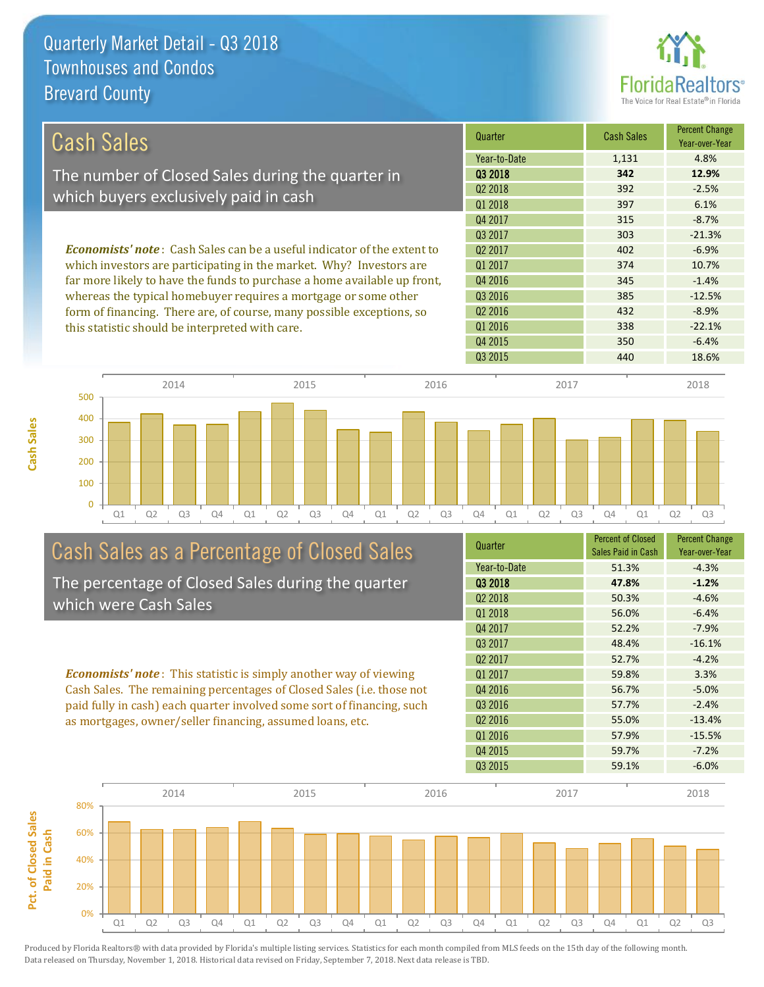**Cash Sales**



| <b>Cash Sales</b>                                                              | Quarter             | <b>Cash Sales</b> | <b>Percent Change</b><br>Year-over-Year |
|--------------------------------------------------------------------------------|---------------------|-------------------|-----------------------------------------|
|                                                                                | Year-to-Date        | 1,131             | 4.8%                                    |
| The number of Closed Sales during the quarter in                               | 03 2018             | 342               | 12.9%                                   |
| which buyers exclusively paid in cash                                          | 02 2018             | 392               | $-2.5%$                                 |
|                                                                                | Q1 2018             | 397               | 6.1%                                    |
|                                                                                | Q4 2017             | 315               | $-8.7%$                                 |
|                                                                                | 03 2017             | 303               | $-21.3%$                                |
| <b>Economists' note:</b> Cash Sales can be a useful indicator of the extent to | Q <sub>2</sub> 2017 | 402               | $-6.9%$                                 |
| which investors are participating in the market. Why? Investors are            | 01 2017             | 374               | 10.7%                                   |
| far more likely to have the funds to purchase a home available up front,       | Q4 2016             | 345               | $-1.4%$                                 |
| whereas the typical homebuyer requires a mortgage or some other                | Q3 2016             | 385               | $-12.5%$                                |
| form of financing. There are, of course, many possible exceptions, so          | Q <sub>2</sub> 2016 | 432               | $-8.9%$                                 |
| this statistic should be interpreted with care.                                | 01 2016             | 338               | $-22.1%$                                |



## Cash Sales as a Percentage of Closed Sales

The percentage of Closed Sales during the quarter which were Cash Sales

*Economists' note* : This statistic is simply another way of viewing Cash Sales. The remaining percentages of Closed Sales (i.e. those not paid fully in cash) each quarter involved some sort of financing, such as mortgages, owner/seller financing, assumed loans, etc.

| Quarter             | <b>Percent of Closed</b><br>Sales Paid in Cash | <b>Percent Change</b><br>Year-over-Year |
|---------------------|------------------------------------------------|-----------------------------------------|
| Year-to-Date        | 51.3%                                          | $-4.3%$                                 |
| Q3 2018             | 47.8%                                          | $-1.2%$                                 |
| 02 2018             | 50.3%                                          | $-4.6%$                                 |
| Q1 2018             | 56.0%                                          | $-6.4%$                                 |
| Q4 2017             | 52.2%                                          | $-7.9%$                                 |
| 03 2017             | 48.4%                                          | $-16.1%$                                |
| Q <sub>2</sub> 2017 | 52.7%                                          | $-4.2%$                                 |
| Q1 2017             | 59.8%                                          | 3.3%                                    |
| Q4 2016             | 56.7%                                          | $-5.0%$                                 |
| Q3 2016             | 57.7%                                          | $-2.4%$                                 |
| 02 2016             | 55.0%                                          | $-13.4%$                                |
| Q1 2016             | 57.9%                                          | $-15.5%$                                |
| Q4 2015             | 59.7%                                          | $-7.2%$                                 |
| Q3 2015             | 59.1%                                          | $-6.0%$                                 |

Q4 2015 350 -6.4%

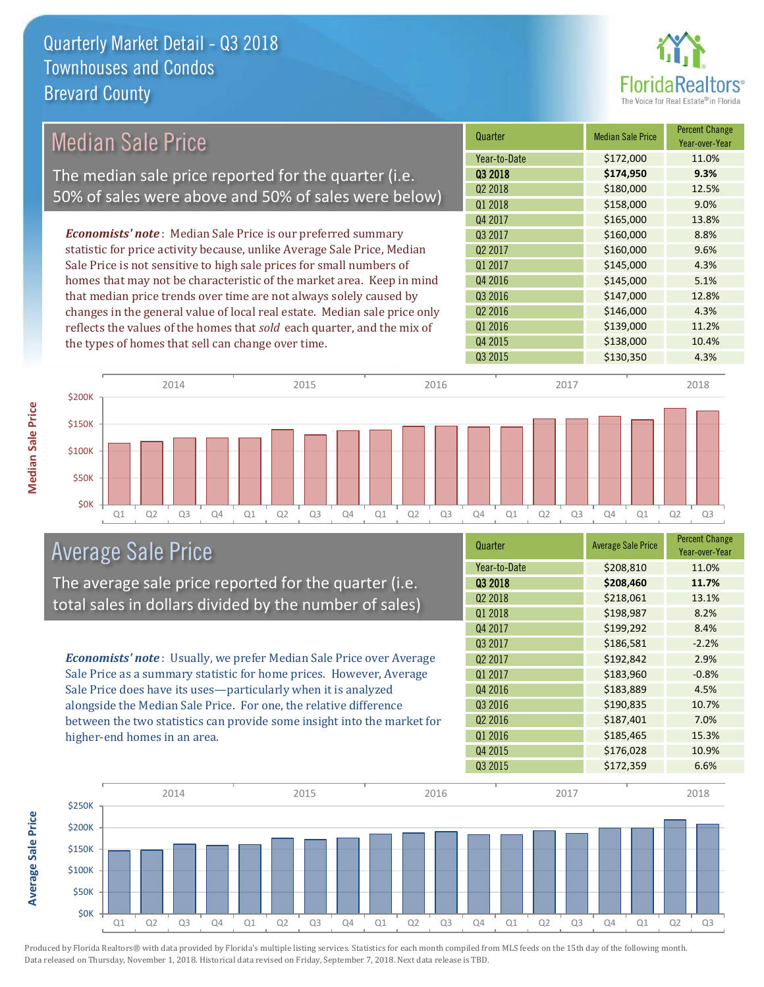

## Median Sale Price

The median sale price reported for the quarter (i.e. 50% of sales were above and 50% of sales were below)

*Economists' note* : Median Sale Price is our preferred summary statistic for price activity because, unlike Average Sale Price, Median Sale Price is not sensitive to high sale prices for small numbers of homes that may not be characteristic of the market area. Keep in mind that median price trends over time are not always solely caused by changes in the general value of local real estate. Median sale price only reflects the values of the homes that *sold* each quarter, and the mix of the types of homes that sell can change over time.

| Quarter             | <b>Median Sale Price</b> | <b>Percent Change</b><br>Year-over-Year |
|---------------------|--------------------------|-----------------------------------------|
| Year-to-Date        | \$172,000                | 11.0%                                   |
| Q3 2018             | \$174,950                | 9.3%                                    |
| Q <sub>2</sub> 2018 | \$180,000                | 12.5%                                   |
| Q1 2018             | \$158,000                | 9.0%                                    |
| Q4 2017             | \$165,000                | 13.8%                                   |
| Q3 2017             | \$160,000                | 8.8%                                    |
| Q <sub>2</sub> 2017 | \$160,000                | 9.6%                                    |
| Q1 2017             | \$145,000                | 4.3%                                    |
| Q4 2016             | \$145,000                | 5.1%                                    |
| Q3 2016             | \$147,000                | 12.8%                                   |
| Q <sub>2</sub> 2016 | \$146,000                | 4.3%                                    |
| Q1 2016             | \$139,000                | 11.2%                                   |
| Q4 2015             | \$138,000                | 10.4%                                   |
| Q3 2015             | \$130,350                | 4.3%                                    |



#### Average Sale Price

The average sale price reported for the quarter (i.e. total sales in dollars divided by the number of sales)

*Economists' note* : Usually, we prefer Median Sale Price over Average Sale Price as a summary statistic for home prices. However, Average Sale Price does have its uses—particularly when it is analyzed alongside the Median Sale Price. For one, the relative difference between the two statistics can provide some insight into the market for higher-end homes in an area.

| Quarter             | <b>Average Sale Price</b> | <b>Percent Change</b><br>Year-over-Year |
|---------------------|---------------------------|-----------------------------------------|
| Year-to-Date        | \$208,810                 | 11.0%                                   |
| Q3 2018             | \$208,460                 | 11.7%                                   |
| Q <sub>2</sub> 2018 | \$218,061                 | 13.1%                                   |
| Q1 2018             | \$198,987                 | 8.2%                                    |
| Q4 2017             | \$199,292                 | 8.4%                                    |
| Q3 2017             | \$186,581                 | $-2.2%$                                 |
| Q <sub>2</sub> 2017 | \$192,842                 | 2.9%                                    |
| Q1 2017             | \$183,960                 | $-0.8%$                                 |
| Q4 2016             | \$183,889                 | 4.5%                                    |
| Q3 2016             | \$190,835                 | 10.7%                                   |
| Q <sub>2</sub> 2016 | \$187,401                 | 7.0%                                    |
| Q1 2016             | \$185,465                 | 15.3%                                   |
| Q4 2015             | \$176,028                 | 10.9%                                   |
| Q3 2015             | \$172,359                 | 6.6%                                    |



Produced by Florida Realtors® with data provided by Florida's multiple listing services. Statistics for each month compiled from MLS feeds on the 15th day of the following month. Data released on Thursday, November 1, 2018. Historical data revised on Friday, September 7, 2018. Next data release is TBD.

**Average Sale Price**

**Average Sale Price**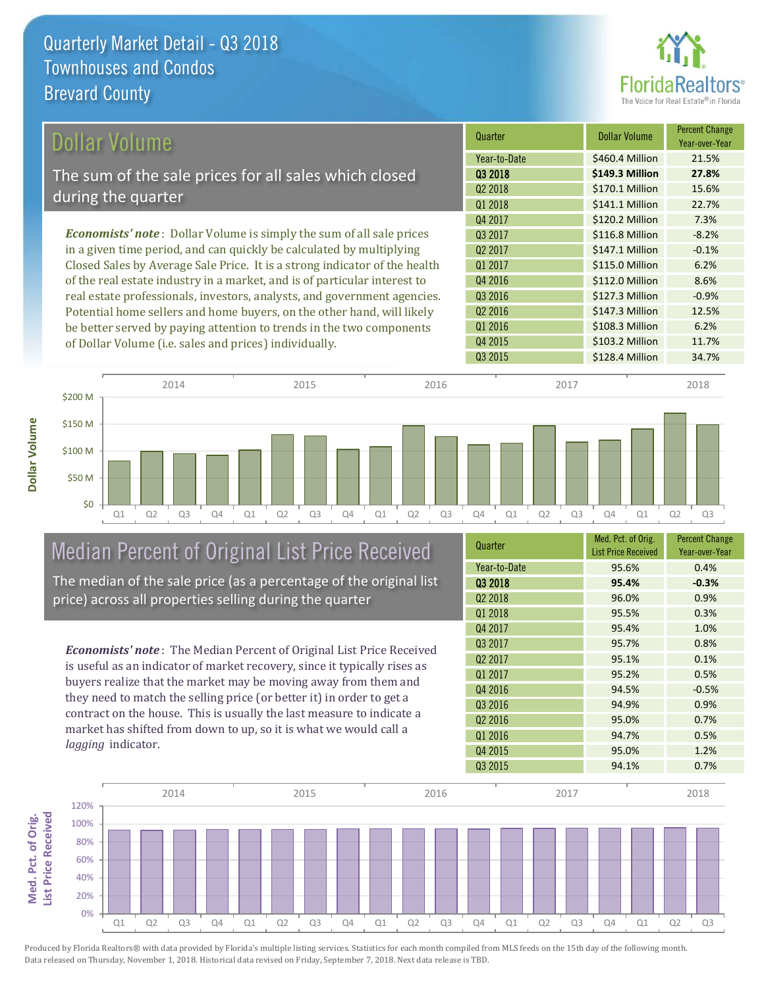

| Dollar Volume                                                                | Quarter             | Dollar Volume   | <b>Percent Change</b><br>Year-over-Year |
|------------------------------------------------------------------------------|---------------------|-----------------|-----------------------------------------|
|                                                                              | Year-to-Date        | \$460.4 Million | 21.5%                                   |
| The sum of the sale prices for all sales which closed                        | 03 2018             | \$149.3 Million | 27.8%                                   |
| during the quarter                                                           | Q <sub>2</sub> 2018 | \$170.1 Million | 15.6%                                   |
|                                                                              | Q1 2018             | \$141.1 Million | 22.7%                                   |
|                                                                              | Q4 2017             | \$120.2 Million | 7.3%                                    |
| <b>Economists' note</b> : Dollar Volume is simply the sum of all sale prices | 03 2017             | \$116.8 Million | $-8.2%$                                 |
| in a given time period, and can quickly be calculated by multiplying         | Q <sub>2</sub> 2017 | \$147.1 Million | $-0.1%$                                 |
| Closed Sales by Average Sale Price. It is a strong indicator of the health   | Q1 2017             | \$115.0 Million | 6.2%                                    |
| of the real estate industry in a market, and is of particular interest to    | Q4 2016             | \$112.0 Million | 8.6%                                    |
| real estate professionals, investors, analysts, and government agencies.     | Q3 2016             | \$127.3 Million | $-0.9%$                                 |
| Potential home sellers and home buyers, on the other hand, will likely       | Q <sub>2</sub> 2016 | \$147.3 Million | 12.5%                                   |
| be better served by paying attention to trends in the two components         | Q1 2016             | \$108.3 Million | 6.2%                                    |

be better served by paying attention to trends in the two components of Dollar Volume (i.e. sales and prices) individually.



#### Median Percent of Original List Price Received The median of the sale price (as a percentage of the original list

price) across all properties selling during the quarter

*Economists' note* : The Median Percent of Original List Price Received is useful as an indicator of market recovery, since it typically rises as buyers realize that the market may be moving away from them and they need to match the selling price (or better it) in order to get a contract on the house. This is usually the last measure to indicate a market has shifted from down to up, so it is what we would call a *lagging* indicator.

| Quarter             | Med. Pct. of Orig.<br><b>List Price Received</b> | <b>Percent Change</b><br>Year-over-Year |
|---------------------|--------------------------------------------------|-----------------------------------------|
| Year-to-Date        | 95.6%                                            | 0.4%                                    |
| 03 2018             | 95.4%                                            | $-0.3%$                                 |
| Q <sub>2</sub> 2018 | 96.0%                                            | 0.9%                                    |
| Q1 2018             | 95.5%                                            | 0.3%                                    |
| Q4 2017             | 95.4%                                            | 1.0%                                    |
| Q3 2017             | 95.7%                                            | 0.8%                                    |
| Q <sub>2</sub> 2017 | 95.1%                                            | 0.1%                                    |
| Q1 2017             | 95.2%                                            | 0.5%                                    |
| Q4 2016             | 94.5%                                            | $-0.5%$                                 |
| Q3 2016             | 94.9%                                            | 0.9%                                    |
| Q <sub>2</sub> 2016 | 95.0%                                            | 0.7%                                    |
| Q1 2016             | 94.7%                                            | 0.5%                                    |
| Q4 2015             | 95.0%                                            | 1.2%                                    |
| Q3 2015             | 94.1%                                            | 0.7%                                    |

Q3 2015 **\$128.4 Million 34.7%** 

Q4 2015 **\$103.2 Million** 11.7%

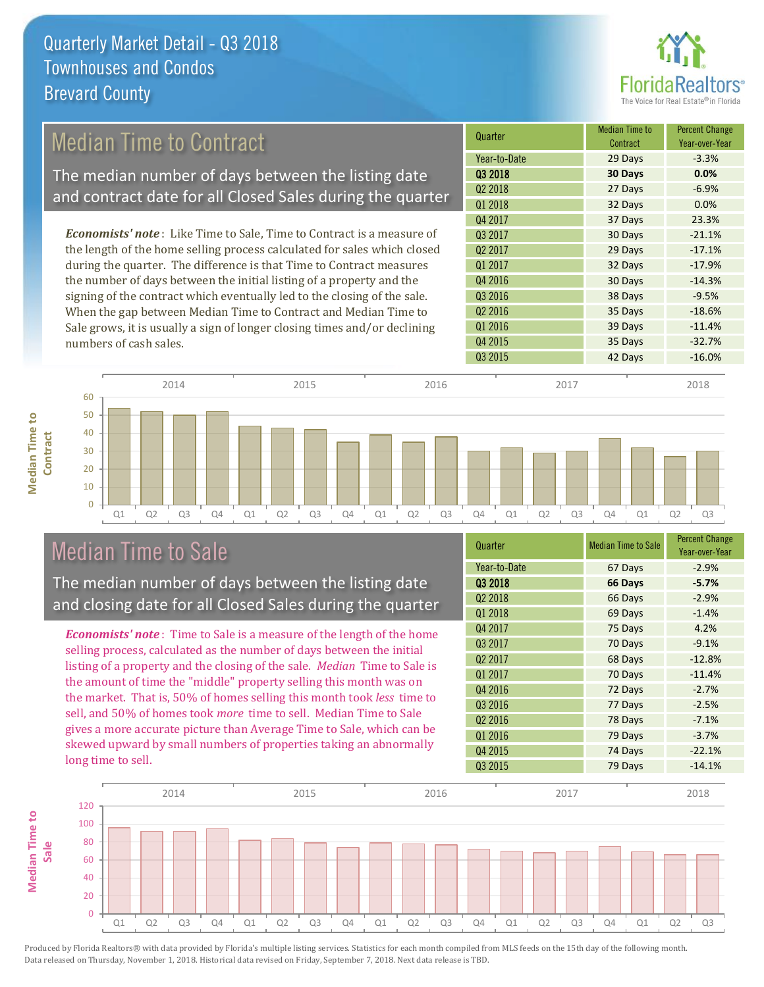

### Median Time to Contract

The median number of days between the listing date and contract date for all Closed Sales during the quarter

*Economists' note* : Like Time to Sale, Time to Contract is a measure of the length of the home selling process calculated for sales which closed during the quarter. The difference is that Time to Contract measures the number of days between the initial listing of a property and the signing of the contract which eventually led to the closing of the sale. When the gap between Median Time to Contract and Median Time to Sale grows, it is usually a sign of longer closing times and/or declining numbers of cash sales.

| Quarter             | <b>Median Time to</b><br>Contract | <b>Percent Change</b><br>Year-over-Year |
|---------------------|-----------------------------------|-----------------------------------------|
| Year-to-Date        | 29 Days                           | $-3.3%$                                 |
| 03 2018             | 30 Days                           | 0.0%                                    |
| Q <sub>2</sub> 2018 | 27 Days                           | $-6.9%$                                 |
| 01 2018             | 32 Days                           | 0.0%                                    |
| Q4 2017             | 37 Days                           | 23.3%                                   |
| Q3 2017             | 30 Days                           | $-21.1%$                                |
| Q <sub>2</sub> 2017 | 29 Days                           | $-17.1%$                                |
| Q1 2017             | 32 Days                           | $-17.9%$                                |
| Q4 2016             | 30 Days                           | $-14.3%$                                |
| Q3 2016             | 38 Days                           | $-9.5%$                                 |
| Q <sub>2</sub> 2016 | 35 Days                           | $-18.6%$                                |
| Q1 2016             | 39 Days                           | $-11.4%$                                |
| Q4 2015             | 35 Days                           | $-32.7%$                                |
| Q3 2015             | 42 Days                           | $-16.0%$                                |
|                     |                                   |                                         |



### Median Time to Sale

**Median Time to** 

**Median Time to** 

The median number of days between the listing date and closing date for all Closed Sales during the quarter

*Economists' note* : Time to Sale is a measure of the length of the home selling process, calculated as the number of days between the initial listing of a property and the closing of the sale. *Median* Time to Sale is the amount of time the "middle" property selling this month was on the market. That is, 50% of homes selling this month took *less* time to sell, and 50% of homes took *more* time to sell. Median Time to Sale gives a more accurate picture than Average Time to Sale, which can be skewed upward by small numbers of properties taking an abnormally long time to sell.

| Quarter             | <b>Median Time to Sale</b> | <b>Percent Change</b><br>Year-over-Year |
|---------------------|----------------------------|-----------------------------------------|
| Year-to-Date        | 67 Days                    | $-2.9%$                                 |
| Q3 2018             | 66 Days                    | $-5.7%$                                 |
| Q <sub>2</sub> 2018 | 66 Days                    | $-2.9%$                                 |
| Q1 2018             | 69 Days                    | $-1.4%$                                 |
| Q4 2017             | 75 Days                    | 4.2%                                    |
| Q3 2017             | 70 Days                    | $-9.1%$                                 |
| Q <sub>2</sub> 2017 | 68 Days                    | $-12.8%$                                |
| Q1 2017             | 70 Days                    | $-11.4%$                                |
| Q4 2016             | 72 Days                    | $-2.7%$                                 |
| Q3 2016             | 77 Days                    | $-2.5%$                                 |
| Q <sub>2</sub> 2016 | 78 Days                    | $-7.1%$                                 |
| Q1 2016             | 79 Days                    | $-3.7%$                                 |
| Q4 2015             | 74 Days                    | $-22.1%$                                |
| Q3 2015             | 79 Days                    | $-14.1%$                                |

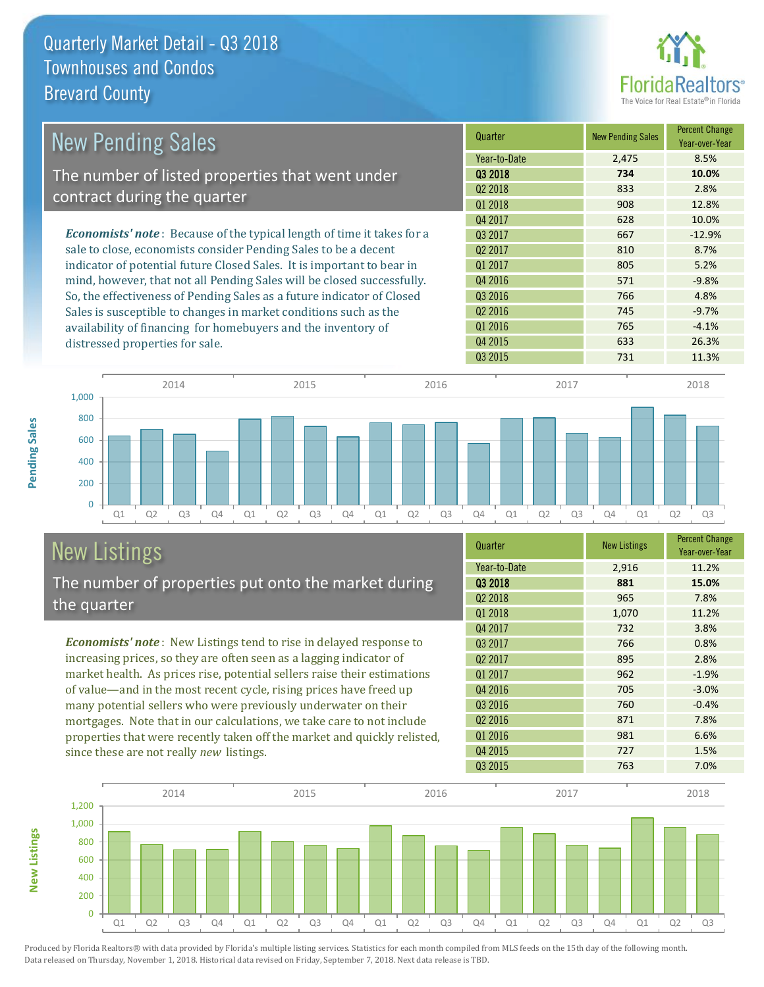

| <b>New Pending Sales</b>                                                      | Quarter             | <b>New Pending Sales</b> | <b>Percent Change</b><br>Year-over-Year |
|-------------------------------------------------------------------------------|---------------------|--------------------------|-----------------------------------------|
|                                                                               | Year-to-Date        | 2,475                    | 8.5%                                    |
| The number of listed properties that went under                               | 03 2018             | 734                      | 10.0%                                   |
| contract during the quarter                                                   | Q <sub>2</sub> 2018 | 833                      | 2.8%                                    |
|                                                                               | Q1 2018             | 908                      | 12.8%                                   |
|                                                                               | Q4 2017             | 628                      | 10.0%                                   |
| <b>Economists' note:</b> Because of the typical length of time it takes for a | 03 2017             | 667                      | $-12.9%$                                |
| sale to close, economists consider Pending Sales to be a decent               | Q <sub>2</sub> 2017 | 810                      | 8.7%                                    |
| indicator of potential future Closed Sales. It is important to bear in        | 01 2017             | 805                      | 5.2%                                    |
| mind, however, that not all Pending Sales will be closed successfully.        | Q4 2016             | 571                      | $-9.8%$                                 |
| So, the effectiveness of Pending Sales as a future indicator of Closed        | Q3 2016             | 766                      | 4.8%                                    |
| Sales is susceptible to changes in market conditions such as the              | Q <sub>2</sub> 2016 | 745                      | $-9.7%$                                 |
| availability of financing for homebuyers and the inventory of                 | Q1 2016             | 765                      | $-4.1%$                                 |
| distressed properties for sale.                                               | Q4 2015             | 633                      | 26.3%                                   |



#### New Listings The number of properties put onto the market during the quarter

*Economists' note* : New Listings tend to rise in delayed response to increasing prices, so they are often seen as a lagging indicator of market health. As prices rise, potential sellers raise their estimations of value—and in the most recent cycle, rising prices have freed up many potential sellers who were previously underwater on their mortgages. Note that in our calculations, we take care to not include properties that were recently taken off the market and quickly relisted, since these are not really *new* listings.

| Quarter             | <b>New Listings</b> | <b>Percent Change</b><br>Year-over-Year |
|---------------------|---------------------|-----------------------------------------|
| Year-to-Date        | 2,916               | 11.2%                                   |
| 03 2018             | 881                 | 15.0%                                   |
| Q <sub>2</sub> 2018 | 965                 | 7.8%                                    |
| Q1 2018             | 1,070               | 11.2%                                   |
| Q4 2017             | 732                 | 3.8%                                    |
| Q3 2017             | 766                 | 0.8%                                    |
| Q <sub>2</sub> 2017 | 895                 | 2.8%                                    |
| Q1 2017             | 962                 | $-1.9%$                                 |
| Q4 2016             | 705                 | $-3.0%$                                 |
| Q3 2016             | 760                 | $-0.4%$                                 |
| Q <sub>2</sub> 2016 | 871                 | 7.8%                                    |
| Q1 2016             | 981                 | 6.6%                                    |
| Q4 2015             | 727                 | 1.5%                                    |
| Q3 2015             | 763                 | 7.0%                                    |



Produced by Florida Realtors® with data provided by Florida's multiple listing services. Statistics for each month compiled from MLS feeds on the 15th day of the following month. Data released on Thursday, November 1, 2018. Historical data revised on Friday, September 7, 2018. Next data release is TBD.

**New Listings**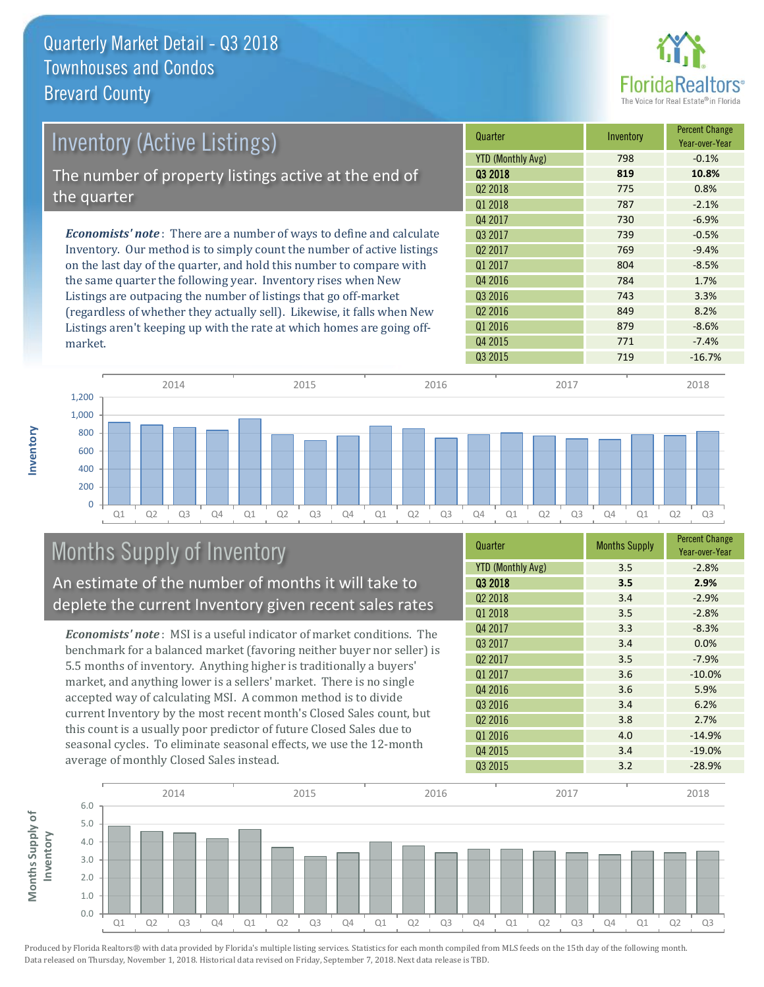

| <b>Inventory (Active Listings)</b>                                           | Quarter                  | Inventory | <b>Percent Change</b><br>Year-over-Year |
|------------------------------------------------------------------------------|--------------------------|-----------|-----------------------------------------|
|                                                                              | <b>YTD (Monthly Avg)</b> | 798       | $-0.1%$                                 |
| The number of property listings active at the end of                         | 03 2018                  | 819       | 10.8%                                   |
| the quarter                                                                  | 02 2018                  | 775       | 0.8%                                    |
|                                                                              | Q1 2018                  | 787       | $-2.1%$                                 |
|                                                                              | Q4 2017                  | 730       | $-6.9%$                                 |
| <b>Economists' note</b> : There are a number of ways to define and calculate | 03 2017                  | 739       | $-0.5%$                                 |
| Inventory. Our method is to simply count the number of active listings       | Q <sub>2</sub> 2017      | 769       | $-9.4%$                                 |
| on the last day of the quarter, and hold this number to compare with         | Q1 2017                  | 804       | $-8.5%$                                 |
| the same quarter the following year. Inventory rises when New                | Q4 2016                  | 784       | 1.7%                                    |
| Listings are outpacing the number of listings that go off-market             | Q3 2016                  | 743       | 3.3%                                    |
| (regardless of whether they actually sell). Likewise, it falls when New      | Q <sub>2</sub> 2016      | 849       | 8.2%                                    |
| Listings aren't keeping up with the rate at which homes are going off-       | Q1 2016                  | 879       | $-8.6%$                                 |



# Months Supply of Inventory

An estimate of the number of months it will take to deplete the current Inventory given recent sales rates

*Economists' note* : MSI is a useful indicator of market conditions. The benchmark for a balanced market (favoring neither buyer nor seller) is 5.5 months of inventory. Anything higher is traditionally a buyers' market, and anything lower is a sellers' market. There is no single accepted way of calculating MSI. A common method is to divide current Inventory by the most recent month's Closed Sales count, but this count is a usually poor predictor of future Closed Sales due to seasonal cycles. To eliminate seasonal effects, we use the 12-month average of monthly Closed Sales instead.

| Quarter                  | <b>Months Supply</b> | <b>Percent Change</b><br>Year-over-Year |
|--------------------------|----------------------|-----------------------------------------|
| <b>YTD (Monthly Avg)</b> | 3.5                  | $-2.8%$                                 |
| Q3 2018                  | 3.5                  | 2.9%                                    |
| Q <sub>2</sub> 2018      | 3.4                  | $-2.9%$                                 |
| Q1 2018                  | 3.5                  | $-2.8%$                                 |
| Q4 2017                  | 3.3                  | $-8.3%$                                 |
| Q3 2017                  | 3.4                  | 0.0%                                    |
| Q <sub>2</sub> 2017      | 3.5                  | $-7.9%$                                 |
| Q1 2017                  | 3.6                  | $-10.0%$                                |
| Q4 2016                  | 3.6                  | 5.9%                                    |
| Q3 2016                  | 3.4                  | 6.2%                                    |
| Q <sub>2</sub> 2016      | 3.8                  | 2.7%                                    |
| Q1 2016                  | 4.0                  | $-14.9%$                                |
| Q4 2015                  | 3.4                  | $-19.0%$                                |
| Q3 2015                  | 3.2                  | $-28.9%$                                |

Q4 2015 **771** -7.4%



Produced by Florida Realtors® with data provided by Florida's multiple listing services. Statistics for each month compiled from MLS feeds on the 15th day of the following month. Data released on Thursday, November 1, 2018. Historical data revised on Friday, September 7, 2018. Next data release is TBD.

market.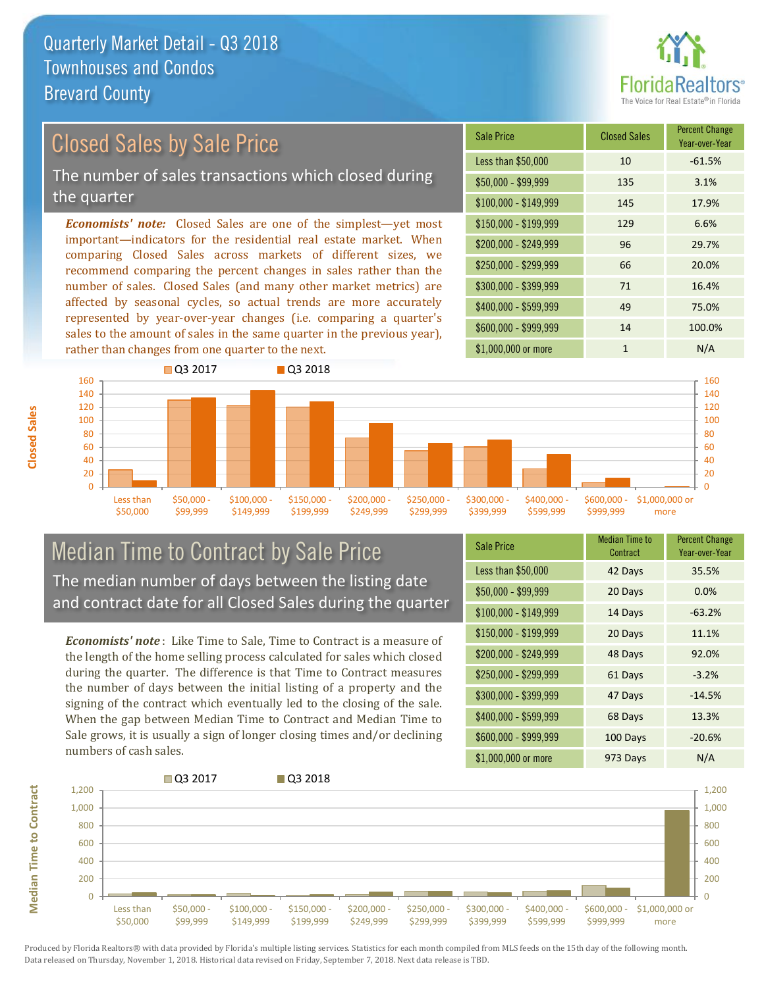

## Closed Sales by Sale Price

The number of sales transactions which closed during the quarter

*Economists' note:* Closed Sales are one of the simplest—yet most important—indicators for the residential real estate market. When comparing Closed Sales across markets of different sizes, we recommend comparing the percent changes in sales rather than the number of sales. Closed Sales (and many other market metrics) are affected by seasonal cycles, so actual trends are more accurately represented by year-over-year changes (i.e. comparing a quarter's sales to the amount of sales in the same quarter in the previous year), rather than changes from one quarter to the next.

| <b>Sale Price</b>     | <b>Closed Sales</b> | <b>Percent Change</b><br>Year-over-Year |
|-----------------------|---------------------|-----------------------------------------|
| Less than \$50,000    | 10                  | $-61.5%$                                |
| $$50,000 - $99,999$   | 135                 | 3.1%                                    |
| $$100,000 - $149,999$ | 145                 | 17.9%                                   |
| $$150,000 - $199,999$ | 129                 | 6.6%                                    |
| \$200,000 - \$249,999 | 96                  | 29.7%                                   |
| $$250,000 - $299,999$ | 66                  | 20.0%                                   |
| \$300,000 - \$399,999 | 71                  | 16.4%                                   |
| \$400,000 - \$599,999 | 49                  | 75.0%                                   |
| \$600,000 - \$999,999 | 14                  | 100.0%                                  |
| \$1,000,000 or more   | 1                   | N/A                                     |



#### Median Time to Contract by Sale Price The median number of days between the listing date and contract date for all Closed Sales during the quarter

*Economists' note* : Like Time to Sale, Time to Contract is a measure of the length of the home selling process calculated for sales which closed during the quarter. The difference is that Time to Contract measures the number of days between the initial listing of a property and the signing of the contract which eventually led to the closing of the sale. When the gap between Median Time to Contract and Median Time to Sale grows, it is usually a sign of longer closing times and/or declining numbers of cash sales.

| <b>Sale Price</b>     | Median Time to<br>Contract | <b>Percent Change</b><br>Year-over-Year |
|-----------------------|----------------------------|-----------------------------------------|
| Less than \$50,000    | 42 Days                    | 35.5%                                   |
| $$50,000 - $99,999$   | 20 Days                    | 0.0%                                    |
| $$100,000 - $149,999$ | 14 Days                    | $-63.2%$                                |
| $$150,000 - $199,999$ | 20 Days                    | 11.1%                                   |
| \$200,000 - \$249,999 | 48 Days                    | 92.0%                                   |
| \$250,000 - \$299,999 | 61 Days                    | $-3.2%$                                 |
| \$300,000 - \$399,999 | 47 Days                    | $-14.5%$                                |
| $$400,000 - $599,999$ | 68 Days                    | 13.3%                                   |
| \$600,000 - \$999,999 | 100 Days                   | $-20.6%$                                |
| \$1,000,000 or more   | 973 Days                   | N/A                                     |



Produced by Florida Realtors® with data provided by Florida's multiple listing services. Statistics for each month compiled from MLS feeds on the 15th day of the following month. Data released on Thursday, November 1, 2018. Historical data revised on Friday, September 7, 2018. Next data release is TBD.

**Median Time to Contract**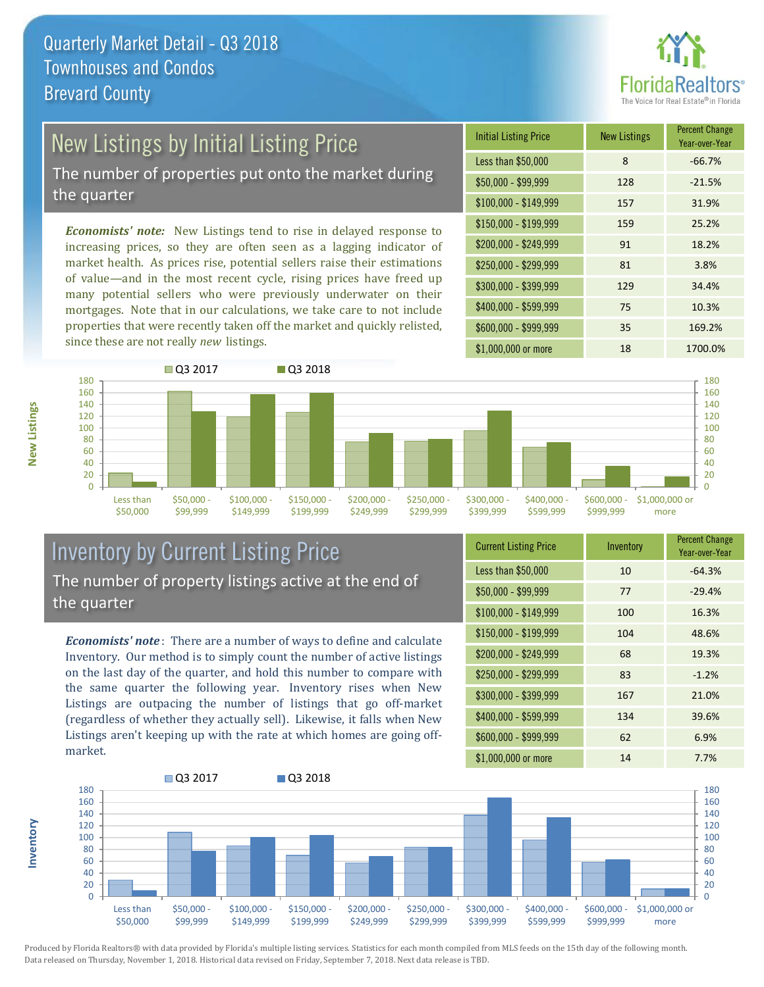

# New Listings by Initial Listing Price

The number of properties put onto the market during the quarter

*Economists' note:* New Listings tend to rise in delayed response to increasing prices, so they are often seen as a lagging indicator of market health. As prices rise, potential sellers raise their estimations of value—and in the most recent cycle, rising prices have freed up many potential sellers who were previously underwater on their mortgages. Note that in our calculations, we take care to not include properties that were recently taken off the market and quickly relisted, since these are not really *new* listings.





#### Inventory by Current Listing Price The number of property listings active at the end of the quarter

*Economists' note* : There are a number of ways to define and calculate Inventory. Our method is to simply count the number of active listings on the last day of the quarter, and hold this number to compare with the same quarter the following year. Inventory rises when New Listings are outpacing the number of listings that go off-market (regardless of whether they actually sell). Likewise, it falls when New Listings aren't keeping up with the rate at which homes are going offmarket.

| <b>Current Listing Price</b> | Inventory | <b>Percent Change</b><br>Year-over-Year |
|------------------------------|-----------|-----------------------------------------|
| Less than \$50,000           | 10        | $-64.3%$                                |
| $$50,000 - $99,999$          | 77        | $-29.4%$                                |
| $$100,000 - $149,999$        | 100       | 16.3%                                   |
| $$150,000 - $199,999$        | 104       | 48.6%                                   |
| \$200,000 - \$249,999        | 68        | 19.3%                                   |
| \$250,000 - \$299,999        | 83        | $-1.2%$                                 |
| \$300,000 - \$399,999        | 167       | 21.0%                                   |
| \$400,000 - \$599,999        | 134       | 39.6%                                   |
| \$600,000 - \$999,999        | 62        | 6.9%                                    |
| \$1,000,000 or more          | 14        | 7.7%                                    |



Produced by Florida Realtors® with data provided by Florida's multiple listing services. Statistics for each month compiled from MLS feeds on the 15th day of the following month. Data released on Thursday, November 1, 2018. Historical data revised on Friday, September 7, 2018. Next data release is TBD.

**Inventory**